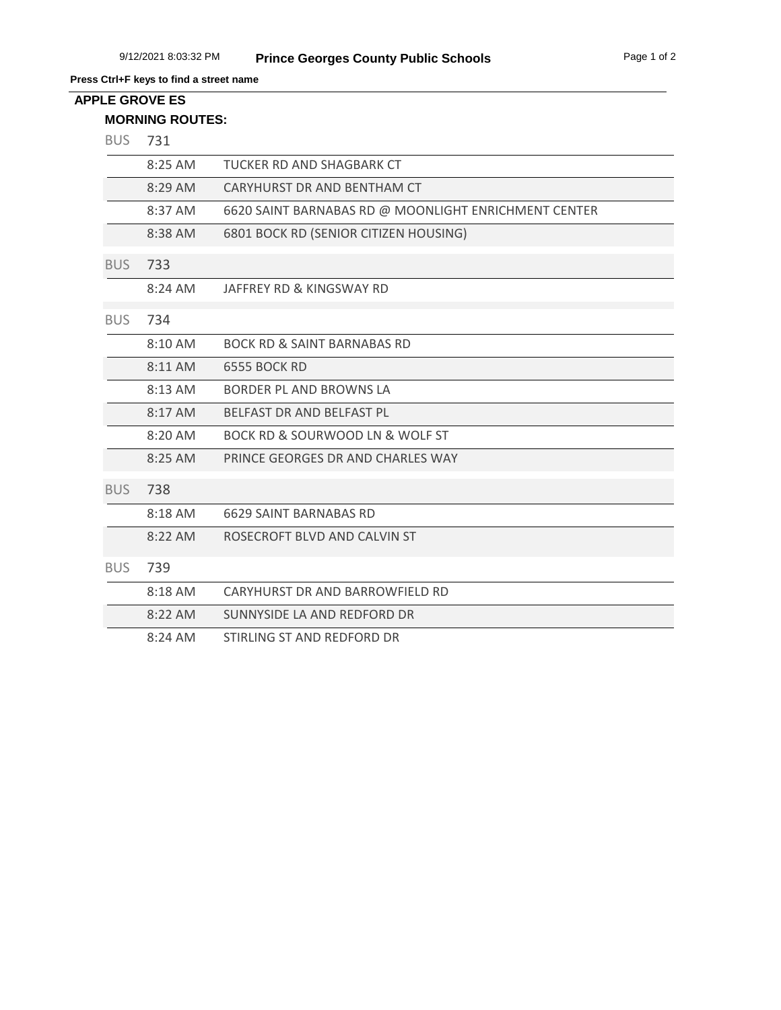**Press Ctrl+F keys to find a street name**

## **MORNING ROUTES: APPLE GROVE ES**

| <b>BUS</b> | 731 |  |  |
|------------|-----|--|--|

|            | 8:25 AM   | TUCKER RD AND SHAGBARK CT                            |
|------------|-----------|------------------------------------------------------|
|            | 8:29 AM   | CARYHURST DR AND BENTHAM CT                          |
|            | 8:37 AM   | 6620 SAINT BARNABAS RD @ MOONLIGHT ENRICHMENT CENTER |
|            | 8:38 AM   | 6801 BOCK RD (SENIOR CITIZEN HOUSING)                |
| <b>BUS</b> | 733       |                                                      |
|            | $8:24$ AM | JAFFREY RD & KINGSWAY RD                             |
| <b>BUS</b> | 734       |                                                      |
|            | 8:10 AM   | <b>BOCK RD &amp; SAINT BARNABAS RD</b>               |
|            | 8:11 AM   | <b>6555 BOCK RD</b>                                  |
|            | 8:13 AM   | BORDER PL AND BROWNS LA                              |
|            | 8:17 AM   | <b>BELFAST DR AND BELFAST PL</b>                     |
|            | 8:20 AM   | BOCK RD & SOURWOOD LN & WOLF ST                      |
|            | 8:25 AM   | PRINCE GEORGES DR AND CHARLES WAY                    |
| <b>BUS</b> | 738       |                                                      |
|            | 8:18 AM   | 6629 SAINT BARNABAS RD                               |
|            | $8:22$ AM | ROSECROFT BLVD AND CALVIN ST                         |
| <b>BUS</b> | 739       |                                                      |
|            | 8:18 AM   | CARYHURST DR AND BARROWFIELD RD                      |
|            | 8:22 AM   | SUNNYSIDE LA AND REDFORD DR                          |
|            | $8:24$ AM | STIRLING ST AND REDFORD DR                           |